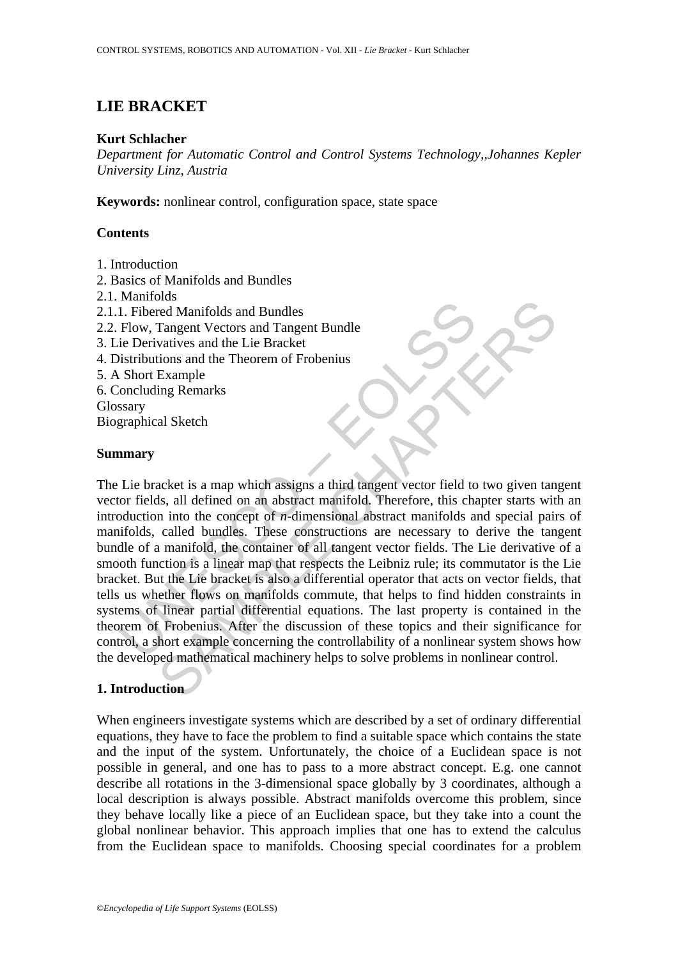# **LIE BRACKET**

#### **Kurt Schlacher**

*Department for Automatic Control and Control Systems Technology,,Johannes Kepler University Linz*, *Austria* 

**Keywords:** nonlinear control, configuration space, state space

## **Contents**

- 1. Introduction
- 2. Basics of Manifolds and Bundles
- 2.1. Manifolds
- 2.1.1. Fibered Manifolds and Bundles
- 2.2. Flow, Tangent Vectors and Tangent Bundle
- 3. Lie Derivatives and the Lie Bracket
- 4. Distributions and the Theorem of Frobenius
- 5. A Short Example
- 6. Concluding Remarks
- Glossary

Biographical Sketch

#### **Summary**

Anarons<br>
I. Fibered Manifolds and Bundles<br>
Flow, Tangent Vectors and Tangent Bundle<br>
ie Derivatives and the Lie Bracket<br>
istributions and the Theorem of Frobenius<br>
Short Example<br>
Short Example<br>
short Example<br>
short Example The Manifolds and Bundles<br>
Trangent Vectors and Tangent Bundle<br>
Tangent Vectors and Tangent Bundle<br>
Tangent Vectors and Tangent Bundle<br>
Example<br>
Example<br>
Example<br>
Example<br>
Ing Remarks<br>
Example<br>
Example<br>
Ing Remarks<br>
al Ske The Lie bracket is a map which assigns a third tangent vector field to two given tangent vector fields, all defined on an abstract manifold. Therefore, this chapter starts with an introduction into the concept of *n*-dimensional abstract manifolds and special pairs of manifolds, called bundles. These constructions are necessary to derive the tangent bundle of a manifold, the container of all tangent vector fields. The Lie derivative of a smooth function is a linear map that respects the Leibniz rule; its commutator is the Lie bracket. But the Lie bracket is also a differential operator that acts on vector fields, that tells us whether flows on manifolds commute, that helps to find hidden constraints in systems of linear partial differential equations. The last property is contained in the theorem of Frobenius. After the discussion of these topics and their significance for control, a short example concerning the controllability of a nonlinear system shows how the developed mathematical machinery helps to solve problems in nonlinear control.

## **1. Introduction**

When engineers investigate systems which are described by a set of ordinary differential equations, they have to face the problem to find a suitable space which contains the state and the input of the system. Unfortunately, the choice of a Euclidean space is not possible in general, and one has to pass to a more abstract concept. E.g. one cannot describe all rotations in the 3-dimensional space globally by 3 coordinates, although a local description is always possible. Abstract manifolds overcome this problem, since they behave locally like a piece of an Euclidean space, but they take into a count the global nonlinear behavior. This approach implies that one has to extend the calculus from the Euclidean space to manifolds. Choosing special coordinates for a problem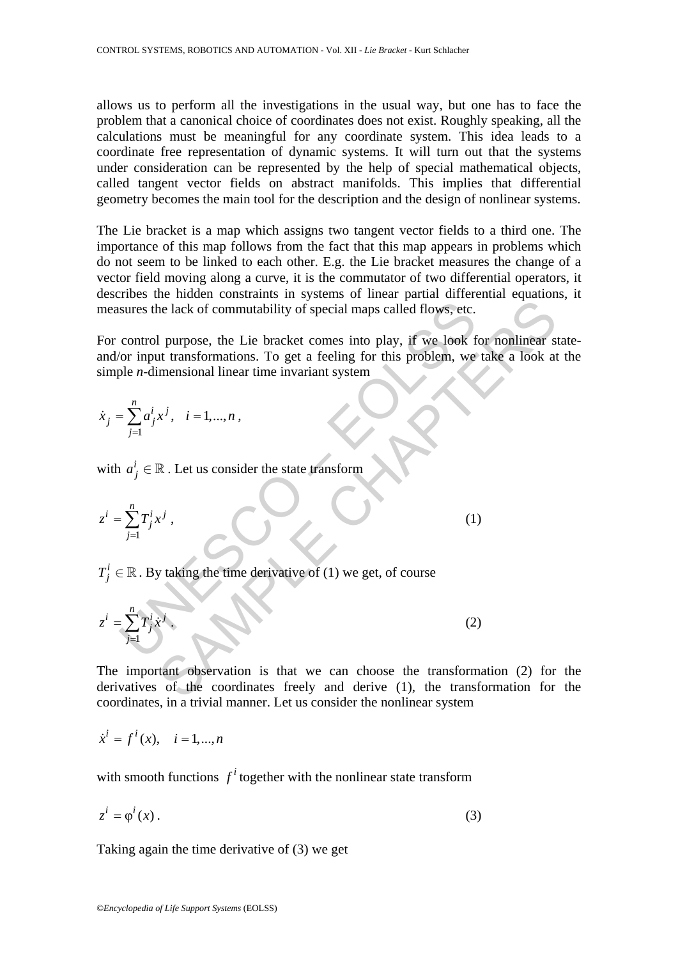allows us to perform all the investigations in the usual way, but one has to face the problem that a canonical choice of coordinates does not exist. Roughly speaking, all the calculations must be meaningful for any coordinate system. This idea leads to a coordinate free representation of dynamic systems. It will turn out that the systems under consideration can be represented by the help of special mathematical objects, called tangent vector fields on abstract manifolds. This implies that differential geometry becomes the main tool for the description and the design of nonlinear systems.

The Lie bracket is a map which assigns two tangent vector fields to a third one. The importance of this map follows from the fact that this map appears in problems which do not seem to be linked to each other. E.g. the Lie bracket measures the change of a vector field moving along a curve, it is the commutator of two differential operators, it describes the hidden constraints in systems of linear partial differential equations, it measures the lack of commutability of special maps called flows, etc.

The lack of commutability of special maps called flows, etc.<br>
all purpose, the Lie bracket comes into play, if we look for nonlinear s<br>
at transformations. To get a feeling for this problem, we take a look at<br>
imensional For control purpose, the Lie bracket comes into play, if we look for nonlinear stateand/or input transformations. To get a feeling for this problem, we take a look at the simple *n*-dimensional linear time invariant system

$$
\dot{x}_j = \sum_{j=1}^n a_j^i x^j, \quad i = 1,...,n,
$$

with  $a_j^i \in \mathbb{R}$ . Let us consider the state transform

measures the lack of commutability of special maps called flows, etc.  
\nFor control purpose, the Lie bracket comes into play, if we look for  
\nand/or input transformations. To get a feeling for this problem, we t  
\nsimple *n*-dimensional linear time invariant system  
\n
$$
\dot{x}_j = \sum_{j=1}^n a_j^i x^j, \quad i = 1,...,n,
$$
\nwith  $a_j^i \in \mathbb{R}$ . Let us consider the state transform  
\n
$$
z^i = \sum_{j=1}^n T_j^i x^j,
$$
\n(1)  
\n
$$
T_j^i \in \mathbb{R}
$$
. By taking the time derivative of (1) we get, of course  
\n
$$
z^i = \sum_{j=1}^n T_j^i x^j.
$$
\n(2)

 $T_j^i \in \mathbb{R}$ . By taking the time derivative of (1) we get, of course

$$
z^i = \sum_{j=1}^n T_j^i \dot{x}^j \tag{2}
$$

The important observation is that we can choose the transformation (2) for the derivatives of the coordinates freely and derive (1), the transformation for the coordinates, in a trivial manner. Let us consider the nonlinear system

$$
\dot{x}^i = f^i(x), \quad i = 1, ..., n
$$

with smooth functions  $f^i$  together with the nonlinear state transform

$$
z^{i} = \varphi^{i}(x). \tag{3}
$$

Taking again the time derivative of (3) we get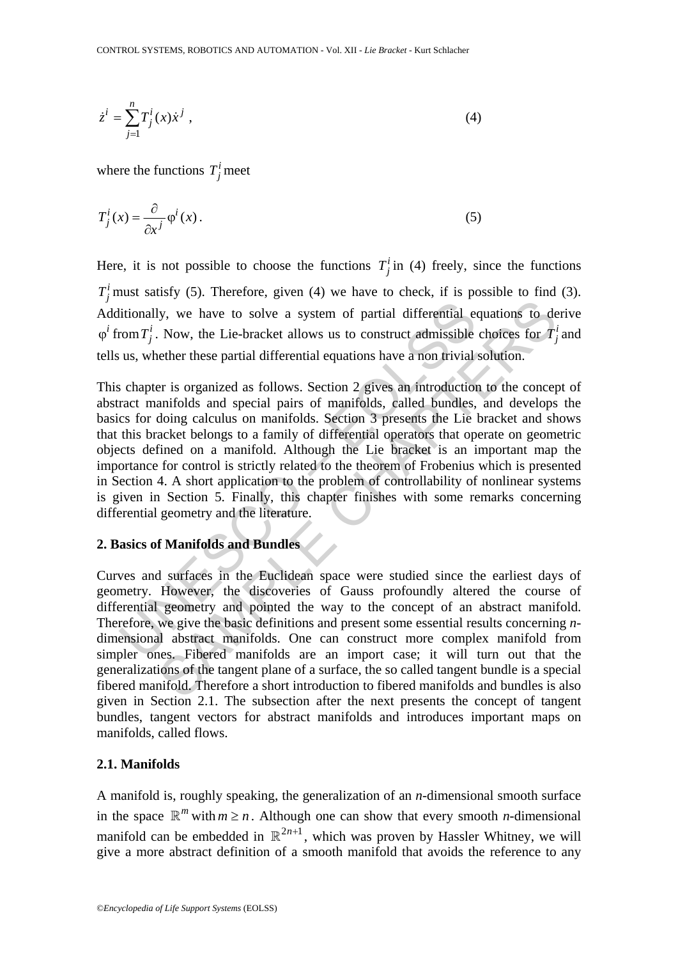$$
\dot{z}^i = \sum_{j=1}^n T_j^i(x) \dot{x}^j , \qquad (4)
$$

where the functions  $T_j^i$  meet

$$
T_j^i(x) = \frac{\partial}{\partial x^j} \varphi^i(x).
$$
 (5)

Here, it is not possible to choose the functions  $T_j^i$  in (4) freely, since the functions  $T_j^i$  must satisfy (5). Therefore, given (4) we have to check, if is possible to find (3). Additionally, we have to solve a system of partial differential equations to derive  $\varphi^i$  from  $T_j^i$ . Now, the Lie-bracket allows us to construct admissible choices for  $T_j^i$  and tells us, whether these partial differential equations have a non trivial solution.

litionally, we have to solve a system of partial differential enom  $T_j^i$ . Now, the Lie-bracket allows us to construct admissible us, whether these partial differential equations have a non trivial schapter is organized a ly, we have to solve a system of partial differential equations to de<br>Now, the Lie-bracket allows us to construct admissible choices for  $T_j^i$ <br>rether these partial differential equations have a non trivial solution.<br>The This chapter is organized as follows. Section 2 gives an introduction to the concept of abstract manifolds and special pairs of manifolds, called bundles, and develops the basics for doing calculus on manifolds. Section 3 presents the Lie bracket and shows that this bracket belongs to a family of differential operators that operate on geometric objects defined on a manifold. Although the Lie bracket is an important map the importance for control is strictly related to the theorem of Frobenius which is presented in Section 4. A short application to the problem of controllability of nonlinear systems is given in Section 5. Finally, this chapter finishes with some remarks concerning differential geometry and the literature.

## **2. Basics of Manifolds and Bundles**

Curves and surfaces in the Euclidean space were studied since the earliest days of geometry. However, the discoveries of Gauss profoundly altered the course of differential geometry and pointed the way to the concept of an abstract manifold. Therefore, we give the basic definitions and present some essential results concerning *n*dimensional abstract manifolds. One can construct more complex manifold from simpler ones. Fibered manifolds are an import case; it will turn out that the generalizations of the tangent plane of a surface, the so called tangent bundle is a special fibered manifold. Therefore a short introduction to fibered manifolds and bundles is also given in Section 2.1. The subsection after the next presents the concept of tangent bundles, tangent vectors for abstract manifolds and introduces important maps on manifolds, called flows.

## **2.1. Manifolds**

A manifold is, roughly speaking, the generalization of an *n*-dimensional smooth surface in the space  $\mathbb{R}^m$  with  $m \ge n$ . Although one can show that every smooth *n*-dimensional manifold can be embedded in  $\mathbb{R}^{2n+1}$ , which was proven by Hassler Whitney, we will give a more abstract definition of a smooth manifold that avoids the reference to any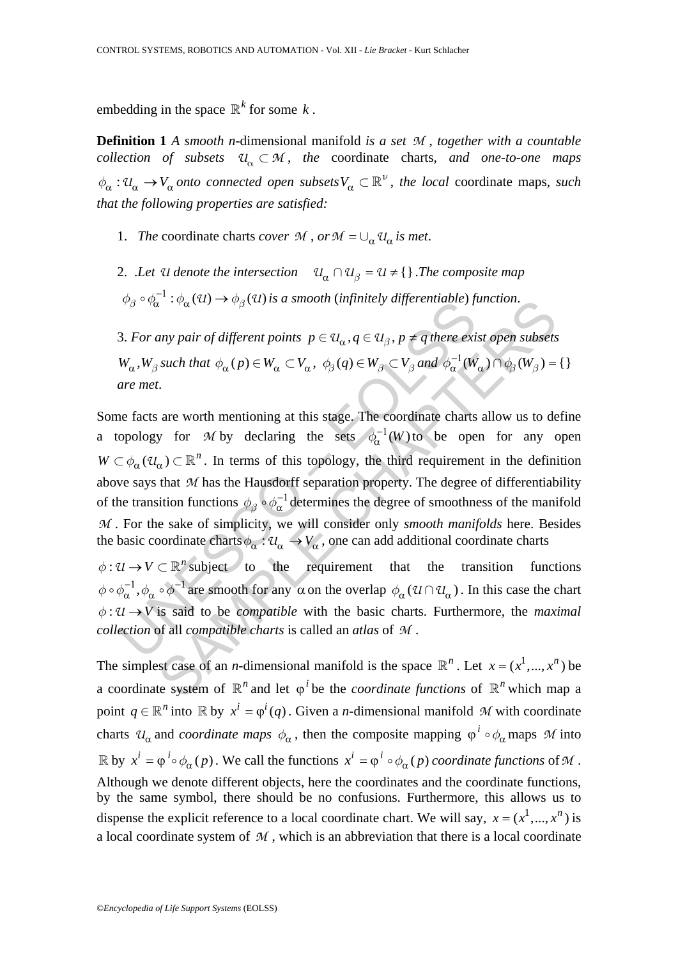embedding in the space  $\mathbb{R}^k$  for some *k*.

**Definition 1** *A smooth n*-dimensional manifold *is a set M* , *together with a countable collection of subsets*  $U_{\alpha} \subset M$ , the coordinate charts, and one-to-one maps  $\phi_{\alpha}: U_{\alpha} \to V_{\alpha}$  *onto connected open subsets*  $V_{\alpha} \subset \mathbb{R}^{\nu}$ , *the local* coordinate maps, *such that the following properties are satisfied:* 

- 1. *The coordinate charts cover*  $M$ ,  $or M = \bigcup_{\alpha} U_{\alpha}$  *is met.*
- 2. *.Let*  $\mathcal{U}$  *denote the intersection*  $\mathcal{U}_{\alpha} \cap \mathcal{U}_{\beta} = \mathcal{U} \neq \{\}\$ . *The composite map*  $\phi_{\beta} \circ \phi_{\alpha}^{-1} : \phi_{\alpha}(\mathfrak{A}) \to \phi_{\beta}(\mathfrak{A})$  *is a smooth (infinitely differentiable) function.*

3. For any pair of different points  $p \in U_\alpha$ ,  $q \in U_\beta$ ,  $p \neq q$  there exist open subsets  $W_{\alpha}$ ,  $W_{\beta}$  *such that*  $\phi_{\alpha}(p) \in W_{\alpha} \subset V_{\alpha}$ ,  $\phi_{\beta}(q) \in W_{\beta} \subset V_{\beta}$  *and*  $\phi_{\alpha}^{-1}(W_{\alpha}) \cap \phi_{\beta}(W_{\beta}) = \{\}\$ *are met*.

 $\psi_{\beta} \circ \psi_{\alpha} \circ \psi_{\alpha} \circ \psi_{\alpha} (x) \rightarrow \psi_{\beta} (x)$  is a smooth (unjumely algerentiable) ji<br>3. For any pair of different points  $p \in \mathbb{U}_{\alpha}, q \in \mathbb{U}_{\beta}, p \neq q$  there exit<br> $W_{\alpha}, W_{\beta}$  such that  $\phi_{\alpha}(p) \in W_{\alpha} \subset V_{\alpha}, \phi_{\beta}(q) \$ a  $\colon \partial_{\alpha}(u) \to \partial_{\beta}(u)$  is a smooth (infinitiety aliferentiable) function.<br>
samy pair of different points  $p \in \mathcal{U}_{\alpha}$ ,  $q \in \mathcal{U}_{\beta}$ ,  $p \neq q$  there exist open subsets<br>
such that  $\phi_{\alpha}(p) \in W_{\alpha} \subset V_{\alpha}$ ,  $\phi_{\beta}(q) \in W$ Some facts are worth mentioning at this stage. The coordinate charts allow us to define a topology for *M* by declaring the sets  $\phi_{\alpha}^{-1}(W)$  to be open for any open  $W \subset \phi_{\alpha}(U_{\alpha}) \subset \mathbb{R}^{n}$ . In terms of this topology, the third requirement in the definition above says that *M* has the Hausdorff separation property. The degree of differentiability of the transition functions  $\phi_\beta \circ \phi_\alpha^{-1}$  determines the degree of smoothness of the manifold *M* . For the sake of simplicity, we will consider only *smooth manifolds* here. Besides the basic coordinate charts  $\phi_{\alpha}: U_{\alpha} \to V_{\alpha}$ , one can add additional coordinate charts

 $\phi: U \to V \subset \mathbb{R}^n$  subject to the requirement that the transition functions  $\phi \circ \phi_\alpha^{-1}, \phi_\alpha \circ \phi^{-1}$  are smooth for any  $\alpha$  on the overlap  $\phi_\alpha (u \cap u_\alpha)$ . In this case the chart  $\phi: U \rightarrow V$  is said to be *compatible* with the basic charts. Furthermore, the *maximal collection* of all *compatible charts* is called an *atlas* of *M* .

The simplest case of an *n*-dimensional manifold is the space  $\mathbb{R}^n$ . Let  $x = (x^1, ..., x^n)$  be a coordinate system of  $\mathbb{R}^n$  and let  $\varphi^i$  be the *coordinate functions* of  $\mathbb{R}^n$  which map a point  $q \in \mathbb{R}^n$  into  $\mathbb R$  by  $x^i = \varphi^i(q)$ . Given a *n*-dimensional manifold *M* with coordinate charts  $u_{\alpha}$  and *coordinate maps*  $\phi_{\alpha}$ , then the composite mapping  $\phi^i \circ \phi_{\alpha}$  maps M into  $\mathbb{R}$  by  $x^{i} = \varphi^{i} \circ \phi_{\alpha}(p)$ . We call the functions  $x^{i} = \varphi^{i} \circ \phi_{\alpha}(p)$  coordinate functions of M. Although we denote different objects, here the coordinates and the coordinate functions, by the same symbol, there should be no confusions. Furthermore, this allows us to dispense the explicit reference to a local coordinate chart. We will say,  $x = (x^1, ..., x^n)$  is a local coordinate system of *M* , which is an abbreviation that there is a local coordinate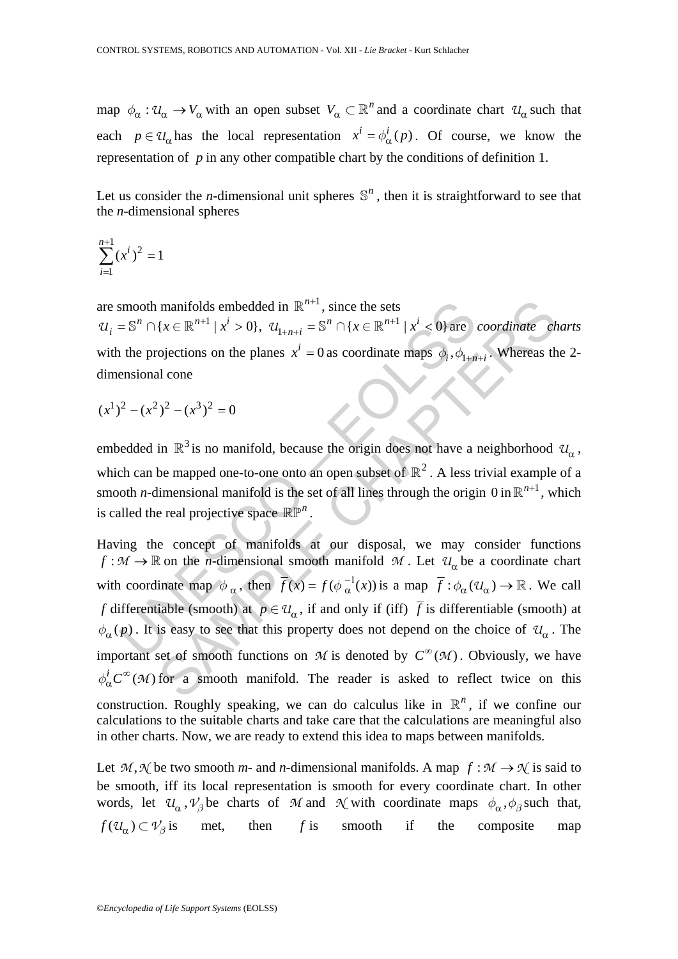map  $\phi_{\alpha}: U_{\alpha} \to V_{\alpha}$  with an open subset  $V_{\alpha} \subset \mathbb{R}^{n}$  and a coordinate chart  $U_{\alpha}$  such that each  $p \in U_\alpha$  has the local representation  $x^i = \phi^i_\alpha(p)$ . Of course, we know the representation of *p* in any other compatible chart by the conditions of definition 1.

Let us consider the *n*-dimensional unit spheres  $\mathbb{S}^n$ , then it is straightforward to see that the *n*-dimensional spheres

$$
\sum_{i=1}^{n+1} (x^i)^2 = 1
$$

are smooth manifolds embedded in  $\mathbb{R}^{n+1}$ , since the sets  $U_i = \mathbb{S}^n \cap \{x \in \mathbb{R}^{n+1} \mid x^i > 0\}, \ U_{1+n+i} = \mathbb{S}^n \cap \{x \in \mathbb{R}^{n+1} \mid x^i < 0\}$  are *coordinate charts* with the projections on the planes  $x^i = 0$  as coordinate maps  $\phi_i$ ,  $\phi_{1+n+i}$ . Whereas the 2dimensional cone

$$
(x^1)^2 - (x^2)^2 - (x^3)^2 = 0
$$

embedded in  $\mathbb{R}^3$  is no manifold, because the origin does not have a neighborhood  $\mathcal{U}_{\alpha}$ , which can be mapped one-to-one onto an open subset of  $\mathbb{R}^2$ . A less trivial example of a smooth *n*-dimensional manifold is the set of all lines through the origin 0 in  $\mathbb{R}^{n+1}$ , which is called the real projective space  $\mathbb{RP}^n$ 

smooth manifolds embedded in  $\mathbb{R}^{n+1}$ , since the sets<br>  $= \mathbb{S}^n \cap \{x \in \mathbb{R}^{n+1} | x^i > 0\}$ ,  $\mathcal{U}_{1+n+i} = \mathbb{S}^n \cap \{x \in \mathbb{R}^{n+1} | x^i < 0\}$  are<br>
the projections on the planes  $x^i = 0$  as coordinate maps  $\phi_i, \phi_{1$ manifolds embedded in  $\mathbb{R}^{n+1}$ , since the sets<br>
{ $x \in \mathbb{R}^{n+1} | x^i > 0$ },  $\mathcal{U}_{1+n+i} = \mathbb{S}^n \cap \{x \in \mathbb{R}^{n+1} | x^i < 0\}$  are coordinate ch<br>
ojections on the planes  $x^i = 0$  as coordinate maps  $\phi_i, \phi_{1+n+i}$ . Wherea Having the concept of manifolds at our disposal, we may consider functions  $f : \mathcal{M} \to \mathbb{R}$  on the *n*-dimensional smooth manifold  $\mathcal{M}$ . Let  $\mathcal{U}_{\alpha}$  be a coordinate chart with coordinate map  $\phi_{\alpha}$ , then  $\overline{f}(x) = f(\phi_{\alpha}^{-1}(x))$  is a map  $\overline{f} : \phi_{\alpha}(u_{\alpha}) \to \mathbb{R}$ . We call *f* differentiable (smooth) at  $p \in U_\alpha$ , if and only if (iff)  $\overline{f}$  is differentiable (smooth) at  $\phi_{\alpha}(p)$ . It is easy to see that this property does not depend on the choice of  $u_{\alpha}$ . The important set of smooth functions on *M* is denoted by  $C^{\infty}(\mathcal{M})$ . Obviously, we have  $\phi_{\alpha}^{i} C^{\infty}(\mathcal{M})$  for a smooth manifold. The reader is asked to reflect twice on this construction. Roughly speaking, we can do calculus like in  $\mathbb{R}^n$ , if we confine our calculations to the suitable charts and take care that the calculations are meaningful also in other charts. Now, we are ready to extend this idea to maps between manifolds.

Let  $M, \mathcal{N}$  be two smooth *m*- and *n*-dimensional manifolds. A map  $f : \mathcal{M} \to \mathcal{N}$  is said to be smooth, iff its local representation is smooth for every coordinate chart. In other words, let  $\mathcal{U}_\alpha$ ,  $\mathcal{V}_\beta$  be charts of *M* and  $\mathcal{N}$  with coordinate maps  $\phi_\alpha$ ,  $\phi_\beta$  such that,  $f(\mathcal{U}_{\alpha}) \subset \mathcal{V}_{\beta}$  is met, then *f* is smooth if the composite map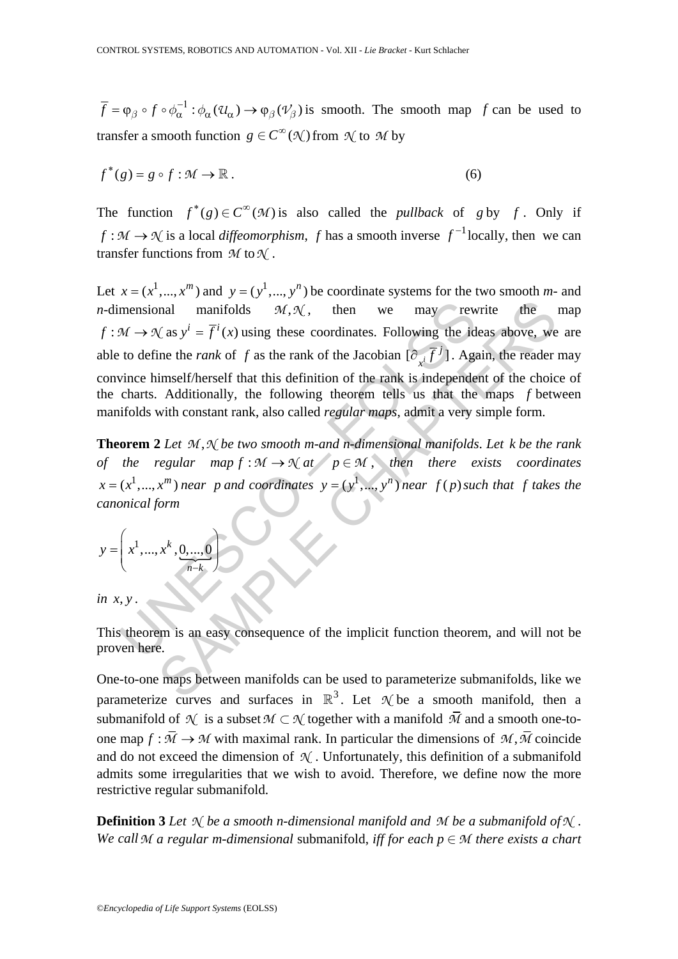$\overline{f} = \varphi_{\beta} \circ f \circ \phi_{\alpha}^{-1} : \phi_{\alpha}(u_{\alpha}) \to \phi_{\beta}(v_{\beta})$  is smooth. The smooth map *f* can be used to transfer a smooth function  $g \in C^{\infty}(\mathcal{N})$  from  $\mathcal{N}$  to  $\mathcal{M}$  by

$$
f^*(g) = g \circ f : \mathcal{M} \to \mathbb{R} \,. \tag{6}
$$

The function  $f^*(g) \in C^\infty(\mathcal{M})$  is also called the *pullback* of *g* by *f*. Only if *f* :  $M$  →  $N$  is a local *diffeomorphism*, *f* has a smooth inverse  $f^{-1}$  locally, then we can transfer functions from *M* to*N* .

mensional manifolds  $\mathcal{M}, \mathcal{N}$ , then we may rew<br>  $\mathcal{M} \rightarrow \mathcal{N}$  as  $y^i = \overline{f}^i(x)$  using these coordinates. Following the id<br>
to define the *rank* of *f* as the rank of the Jacobian  $[\partial_{x_i}\overline{f}^j]$ . Againce himsel mail manifolds  $M, \mathcal{N}$ , then we may rewrite the<br>  $(\text{as } y^i = \overline{f}^i(x))$  using these coordinates. Following the ideas above, we<br>
ine the *rank* of *f* as the rank of the Jacobian  $[\partial_x \overline{f}^j]$ . Again, the reader<br>
imself Let  $x = (x^1, ..., x^m)$  and  $y = (y^1, ..., y^n)$  be coordinate systems for the two smooth *m*- and *n*-dimensional manifolds  $M, \mathcal{N}$ , then we may rewrite the map  $f : \mathcal{M} \to \mathcal{N}$  as  $y^i = \overline{f}^i(x)$  using these coordinates. Following the ideas above, we are able to define the *rank* of *f* as the rank of the Jacobian  $[\partial_{x^i} \overline{f}^j]$ . Again, the reader may convince himself/herself that this definition of the rank is independent of the choice of the charts. Additionally, the following theorem tells us that the maps *f* between manifolds with constant rank, also called *regular maps*, admit a very simple form.

**Theorem 2** Let  $M, N$  be two smooth m-and n-dimensional manifolds. Let k be the rank *of the regular map*  $f : \mathcal{M} \to \mathcal{N}$  at  $p \in \mathcal{M}$ , then there exists coordinates  $x = (x^1, ..., x^m)$  *near p and coordinates*  $y = (y^1, ..., y^n)$  *near f* (*p*) *such that f takes the canonical form*

$$
y = \left(x^1, \dots, x^k, \underbrace{0, \dots, 0}_{n-k}\right)
$$

*in x*, *y* .

This theorem is an easy consequence of the implicit function theorem, and will not be proven here.

One-to-one maps between manifolds can be used to parameterize submanifolds, like we parameterize curves and surfaces in  $\mathbb{R}^3$ . Let  $\mathcal{N}$  be a smooth manifold, then a submanifold of  $\mathcal N$  is a subset  $M \subset \mathcal N$  together with a manifold  $\overline{M}$  and a smooth one-toone map  $f : \overline{M} \to M$  with maximal rank. In particular the dimensions of  $M$ ,  $\overline{M}$  coincide and do not exceed the dimension of  $\mathcal N$ . Unfortunately, this definition of a submanifold admits some irregularities that we wish to avoid. Therefore, we define now the more restrictive regular submanifold.

**Definition 3** *Let N be a smooth n*-*dimensional manifold and M be a submanifold ofN* . *We call*  $M$  *a regular m-dimensional submanifold, iff for each*  $p \in M$  *there exists a chart*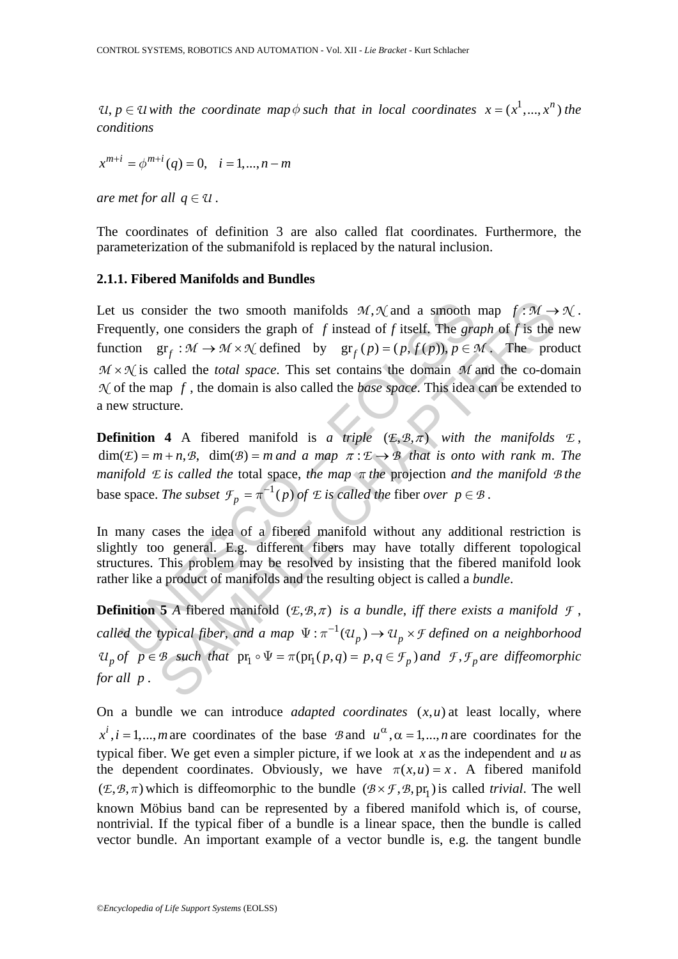*U*,  $p \in \mathcal{U}$  with the coordinate map  $\phi$  such that in local coordinates  $x = (x^1, ..., x^n)$  the *conditions* 

$$
x^{m+i} = \phi^{m+i}(q) = 0, \quad i = 1, ..., n-m
$$

*are met for all*  $q \in \mathcal{U}$ .

The coordinates of definition 3 are also called flat coordinates. Furthermore, the parameterization of the submanifold is replaced by the natural inclusion.

#### **2.1.1. Fibered Manifolds and Bundles**

us consider the two smooth manifolds  $M, \mathcal{N}$  and a smooth<br>quently, one considers the graph of f instead of f itself. The gracition<br> $gr_f : M \rightarrow M \times \mathcal{N}$  defined by  $gr_f(p) = (p, f(p)), p \in \mathcal{S}$ <br> $\mathcal{N}$  is called the *total space* asider the two smooth manifolds  $M, \mathcal{N}$  and a smooth map  $f : \mathcal{M} \rightarrow$ <br>one considers the graph of f instead of f itself. The *graph* of f is the<br>gr<sub>f</sub> :  $M \rightarrow M \times \mathcal{N}$  defined by  $gr_f(p) = (p, f(p))$ ,  $p \in \mathcal{M}$ . The pro<br>call Let us consider the two smooth manifolds  $M, \mathcal{N}$  and a smooth map  $f : M \to \mathcal{N}$ . Frequently, one considers the graph of *f* instead of *f* itself. The *graph* of *f* is the new function  $gr_f : \mathcal{M} \to \mathcal{M} \times \mathcal{N}$  defined by  $gr_f(p) = (p, f(p)), p \in \mathcal{M}$ . The product  $M \times N$  is called the *total space*. This set contains the domain  $M$  and the co-domain *N* of the map *f* , the domain is also called the *base space*. This idea can be extended to a new structure.

**Definition 4** A fibered manifold is *a triple*  $(E, \mathcal{B}, \pi)$  *with the manifolds*  $E$ ,  $dim(\mathcal{E}) = m + n \cdot \mathcal{B}$ ,  $dim(\mathcal{B}) = m$  *and a map*  $\pi : \mathcal{E} \rightarrow \mathcal{B}$  *that is onto with rank m. The manifold E is called the* total space, *the map π the* projection *and the manifold B the*  base space. *The subset*  $\mathcal{F}_p = \pi^{-1}(p)$  *of*  $\mathcal E$  *is called the fiber over*  $p \in \mathcal B$ .

In many cases the idea of a fibered manifold without any additional restriction is slightly too general. E.g. different fibers may have totally different topological structures. This problem may be resolved by insisting that the fibered manifold look rather like a product of manifolds and the resulting object is called a *bundle*.

**Definition 5** *A* fibered manifold  $(E, \mathcal{B}, \pi)$  *is a bundle, iff there exists a manifold*  $\mathcal{F}$ , *called the typical fiber, and a map*  $\Psi : \pi^{-1}(\mathfrak{U}_p) \to \mathfrak{U}_p \times \mathfrak{F}$  defined on a neighborhood  $U_p$  *of*  $p \in B$  such that  $pr_1 \circ \Psi = \pi (pr_1(p,q) = p, q \in F_p)$  and  $\mathcal{F}, \mathcal{F}_p$  are diffeomorphic *for all p* .

On a bundle we can introduce *adapted coordinates*  $(x, u)$  at least locally, where  $x^{i}$ ,  $i = 1,..., m$  are coordinates of the base *B* and  $u^{\alpha}$ ,  $\alpha = 1,..., n$  are coordinates for the typical fiber. We get even a simpler picture, if we look at *x* as the independent and *u* as the dependent coordinates. Obviously, we have  $\pi(x,u) = x$ . A fibered manifold  $(\mathcal{E}, \mathcal{B}, \pi)$  which is diffeomorphic to the bundle  $(\mathcal{B} \times \mathcal{F}, \mathcal{B}, pr_1)$  is called *trivial*. The well known Möbius band can be represented by a fibered manifold which is, of course, nontrivial. If the typical fiber of a bundle is a linear space, then the bundle is called vector bundle. An important example of a vector bundle is, e.g. the tangent bundle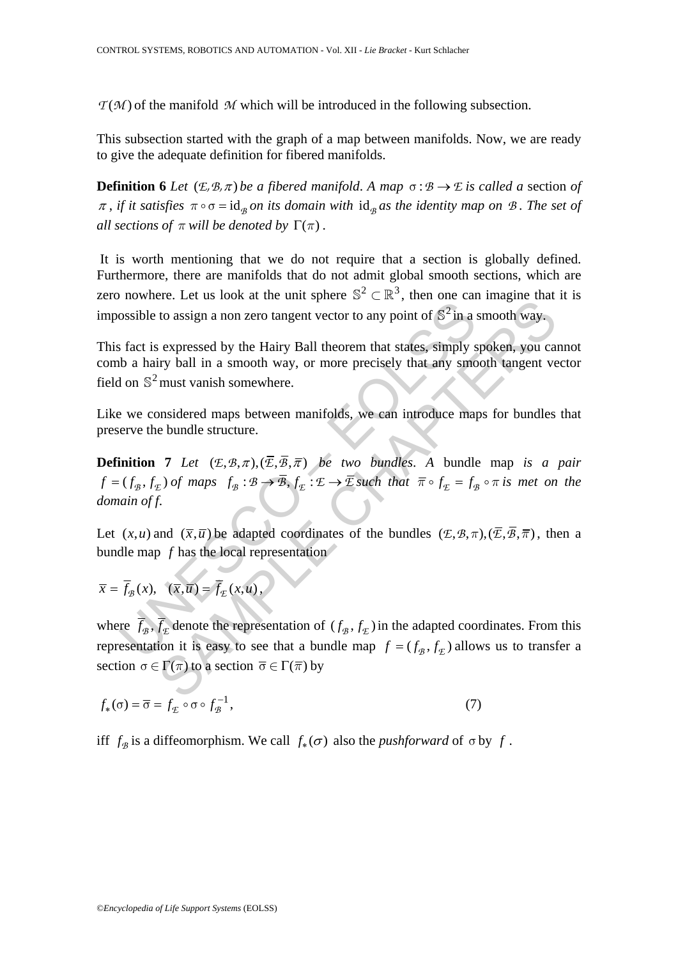$T(M)$  of the manifold *M* which will be introduced in the following subsection.

This subsection started with the graph of a map between manifolds. Now, we are ready to give the adequate definition for fibered manifolds.

**Definition 6** *Let*  $(E, \mathcal{B}, \pi)$  *be a fibered manifold.* A *map*  $\sigma : \mathcal{B} \to \mathcal{E}$  *is called a section of*  $\pi$ , *if it satisfies*  $\pi \circ \sigma = id_{\mathcal{B}}$  *on its domain with*  $id_{\mathcal{B}}$  *as the identity map on B. The set of all sections of*  $\pi$  *will be denoted by*  $\Gamma(\pi)$ *.* 

 It is worth mentioning that we do not require that a section is globally defined. Furthermore, there are manifolds that do not admit global smooth sections, which are zero nowhere. Let us look at the unit sphere  $\mathbb{S}^2 \subset \mathbb{R}^3$ , then one can imagine that it is impossible to assign a non zero tangent vector to any point of  $\mathbb{S}^2$  in a smooth way.

This fact is expressed by the Hairy Ball theorem that states, simply spoken, you cannot comb a hairy ball in a smooth way, or more precisely that any smooth tangent vector field on  $\mathbb{S}^2$  must vanish somewhere.

Like we considered maps between manifolds, we can introduce maps for bundles that preserve the bundle structure.

Solution and the dimension of  $\sum x_i$ , that one<br>ossible to assign a non zero tangent vector to any point of  $S^2$  in a s<br>fact is expressed by the Hairy Ball theorem that states, simply s<br>b a hairy ball in a smooth way, or **Definition 7** *Let*  $(E, \mathcal{B}, \pi), (\overline{E}, \overline{\mathcal{B}}, \overline{\pi})$  *be two bundles. A* bundle map *is a pair*  $f = (f_{\mathcal{B}}, f_{\mathcal{E}})$  *of maps*  $f_{\mathcal{B}} : \mathcal{B} \to \overline{\mathcal{B}}, f_{\mathcal{E}} : \mathcal{E} \to \overline{\mathcal{E}}$  *such that*  $\overline{\pi} \circ f_{\mathcal{E}} = f_{\mathcal{B}} \circ \pi$  *is met on the domain of f*.

Let  $(x, u)$  and  $(\overline{x}, \overline{u})$  be adapted coordinates of the bundles  $(E, \mathcal{B}, \pi), (\overline{E}, \overline{\mathcal{B}}, \overline{\pi})$ , then a bundle map *f* has the local representation

$$
\overline{x} = \overline{f}_{\mathcal{B}}(x), \quad (\overline{x}, \overline{u}) = \overline{f}_{\mathcal{E}}(x, u),
$$

to assign a non zero tangent vector to any point of  $\hat{S}^2$  in a smooth way.<br>
sexpressed by the Hairy Ball theorem that states, simply spoken, you can<br>
sign a non zero tangent vector to any point of  $\hat{S}^2$  in a smoot where  $\bar{f}_B$ ,  $\bar{f}_E$  denote the representation of  $(f_B, f_E)$  in the adapted coordinates. From this representation it is easy to see that a bundle map  $f = (f_{\mathcal{B}}, f_{\mathcal{F}})$  allows us to transfer a section  $\sigma \in \Gamma(\pi)$  to a section  $\overline{\sigma} \in \Gamma(\overline{\pi})$  by

$$
f_*(\sigma) = \overline{\sigma} = f_{\mathcal{L}} \circ \sigma \circ f_{\mathcal{B}}^{-1},\tag{7}
$$

iff  $f_{\mathcal{B}}$  is a diffeomorphism. We call  $f_{*}(\sigma)$  also the *pushforward* of  $\sigma$  by  $f$ .